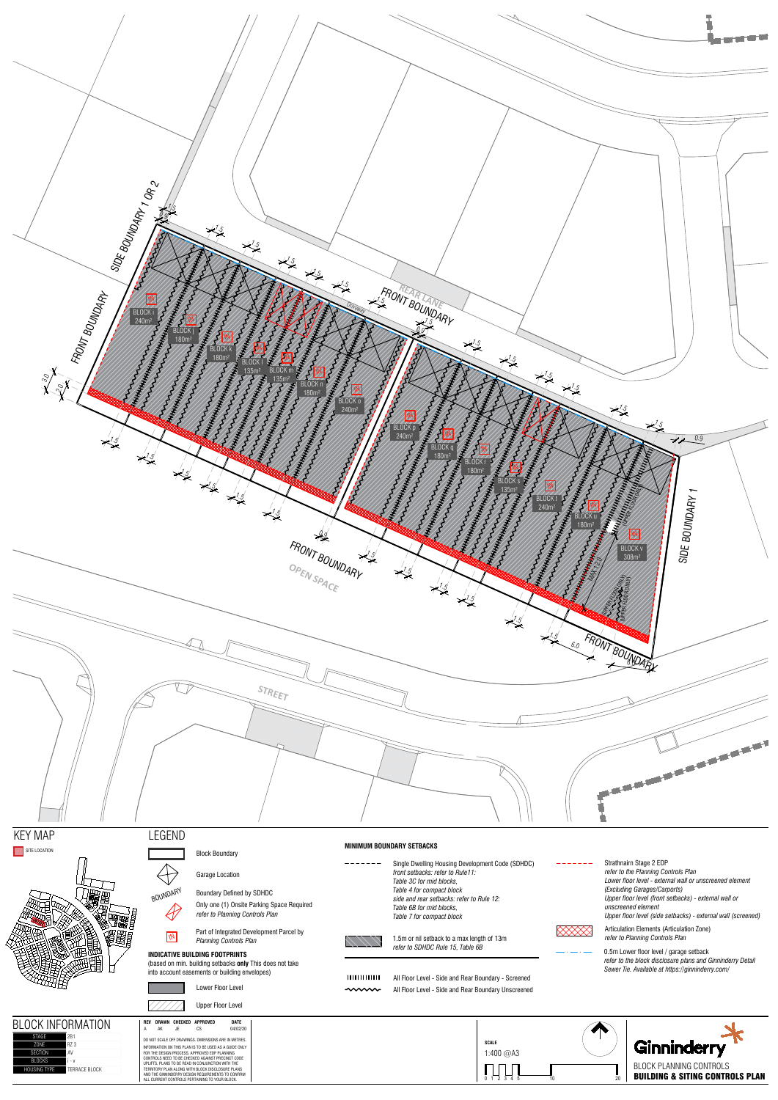



 $\bigoplus$ 

 $\bigoplus$ 

BLOCK INFORMATION **REV DRAWN CHECKED DATE** <sup>A</sup> AK JE CS 04/02/20 **APPROVED** DO NOT SCALE OFF DRAWINGS. DIMENSIONS ARE IN METRES **Ginninderr SCALE** INFORMATION ON THIS PLAN IS TO BE USED AS A GUIDE ONLY 1:400 @A3 for the design process. Approved Edp Planning<br>Controls Need to be checked against precinct code<br>UPLIFTS. Plans to be read in conjunction with the<br>Territory Plan Along With Block disclosure plans<br>And the Ginninderry design BLOCKS i - v BLOCK PLANNING CONTROLS TERRACE BLOCK <u>ITUTU</u>  $0 1 2 3 4 5$  10 20 BUILDING & SITING CONTROLS PLAN ALL CURRENT CONTROLS PERTAINING TO YOUR BLOCK.

Part of Integrated Development Parcel by **Planning Controls Plan**<br>Planning Controls Plan



Garage Location

BOUNDARY Boundary Defined by SDHDC

**INDICATIVE BUILDING FOOTPRINTS**

(based on min. building setbacks **only** This does not take into account easements or building envelopes)



Lower Floor Level

# RZ 3  $AV$



**MINIMUM BOUNDARY SETBACKS**

All Floor Level - Side and Rear Boundary Unscreened



# SITE LOCATION

**478** 

*refer to SDHDC Rule 15, Table 6B*

 $1111111111111...$ All Floor Level - Side and Rear Boundary - Screened  $\sim$   $\sim$ 

Articulation Elements (Articulation Zone) *refer to Planning Controls Plan*

Only one (1) Onsite Parking Space Required *refer to Planning Controls Plan*

Single Dwelling Housing Development Code (SDHDC) -------*front setbacks: refer to Rule11: Table 3C for mid blocks, Table 4 for compact block side and rear setbacks: refer to Rule 12: Table 6B for mid blocks, Table 7 for compact block*



Strathnairn Stage 2 EDP *refer to the Planning Controls Plan Lower floor level - external wall or unscreened element (Excluding Garages/Carports) Upper floor level (front setbacks) - external wall or unscreened element Upper floor level (side setbacks) - external wall (screened)*



--------

0.5m Lower floor level / garage setback *refer to the block disclosure plans and Ginninderry Detail Sewer Tie. Available at https://ginninderry.com/*